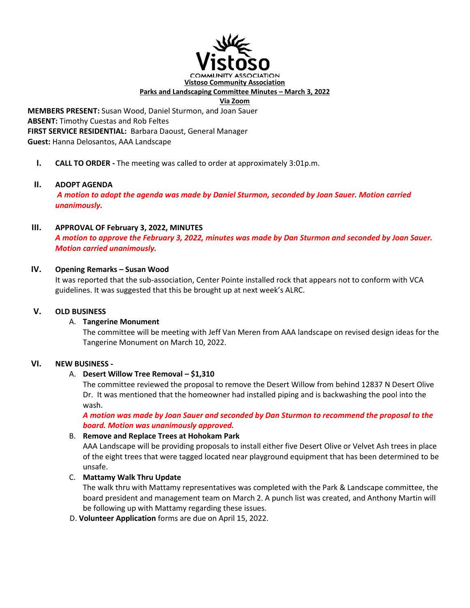

#### **Via Zoom**

**MEMBERS PRESENT:** Susan Wood, Daniel Sturmon, and Joan Sauer **ABSENT:** Timothy Cuestas and Rob Feltes **FIRST SERVICE RESIDENTIAL:** Barbara Daoust, General Manager **Guest:** Hanna Delosantos, AAA Landscape

**I. CALL TO ORDER -** The meeting was called to order at approximately 3:01p.m.

## **II. ADOPT AGENDA**

*A motion to adopt the agenda was made by Daniel Sturmon, seconded by Joan Sauer. Motion carried unanimously.*

## **III. APPROVAL OF February 3, 2022, MINUTES**

*A motion to approve the February 3, 2022, minutes was made by Dan Sturmon and seconded by Joan Sauer. Motion carried unanimously.* 

## **IV. Opening Remarks – Susan Wood**

It was reported that the sub-association, Center Pointe installed rock that appears not to conform with VCA guidelines. It was suggested that this be brought up at next week's ALRC.

### **V. OLD BUSINESS**

### A. **Tangerine Monument**

The committee will be meeting with Jeff Van Meren from AAA landscape on revised design ideas for the Tangerine Monument on March 10, 2022.

### **VI. NEW BUSINESS -**

### A. **Desert Willow Tree Removal – \$1,310**

The committee reviewed the proposal to remove the Desert Willow from behind 12837 N Desert Olive Dr. It was mentioned that the homeowner had installed piping and is backwashing the pool into the wash.

*A motion was made by Joan Sauer and seconded by Dan Sturmon to recommend the proposal to the board. Motion was unanimously approved.* 

# B. **Remove and Replace Trees at Hohokam Park**

AAA Landscape will be providing proposals to install either five Desert Olive or Velvet Ash trees in place of the eight trees that were tagged located near playground equipment that has been determined to be unsafe.

## C. **Mattamy Walk Thru Update**

The walk thru with Mattamy representatives was completed with the Park & Landscape committee, the board president and management team on March 2. A punch list was created, and Anthony Martin will be following up with Mattamy regarding these issues.

D. **Volunteer Application** forms are due on April 15, 2022.